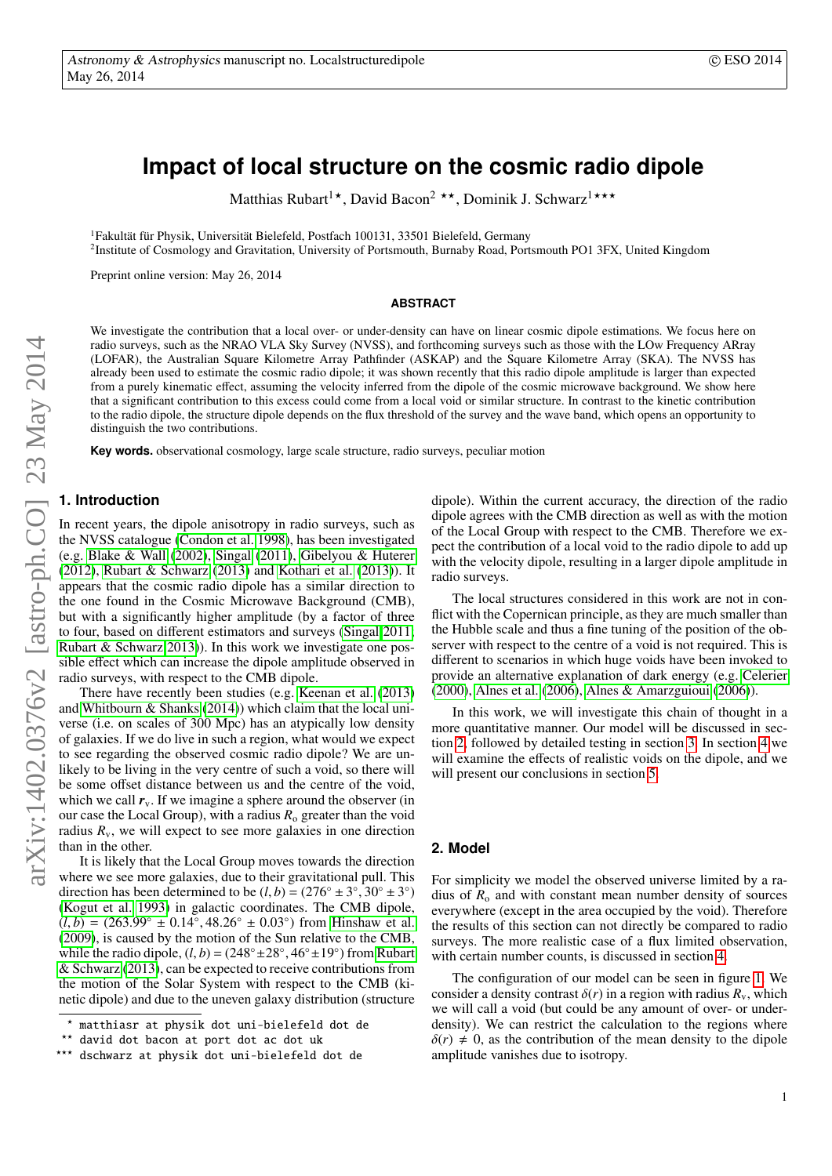# **Impact of local structure on the cosmic radio dipole**

Matthias Rubart<sup>1</sup>\*, David Bacon<sup>2</sup> \*\*, Dominik J. Schwarz<sup>1\*\*\*</sup>

<sup>1</sup>Fakultät für Physik, Universität Bielefeld, Postfach 100131, 33501 Bielefeld, Germany

<sup>2</sup>Institute of Cosmology and Gravitation, University of Portsmouth, Burnaby Road, Portsmouth PO1 3FX, United Kingdom

Preprint online version: May 26, 2014

#### **ABSTRACT**

We investigate the contribution that a local over- or under-density can have on linear cosmic dipole estimations. We focus here on radio surveys, such as the NRAO VLA Sky Survey (NVSS), and forthcoming surveys such as those with the LOw Frequency ARray (LOFAR), the Australian Square Kilometre Array Pathfinder (ASKAP) and the Square Kilometre Array (SKA). The NVSS has already been used to estimate the cosmic radio dipole; it was shown recently that this radio dipole amplitude is larger than expected from a purely kinematic effect, assuming the velocity inferred from the dipole of the cosmic microwave background. We show here that a significant contribution to this excess could come from a local void or similar structure. In contrast to the kinetic contribution to the radio dipole, the structure dipole depends on the flux threshold of the survey and the wave band, which opens an opportunity to distinguish the two contributions.

**Key words.** observational cosmology, large scale structure, radio surveys, peculiar motion

# **1. Introduction**

In recent years, the dipole anisotropy in radio surveys, such as the NVSS catalogue [\(Condon et al. 1998\)](#page-7-0), has been investigated (e.g. [Blake & Wall](#page-7-1) [\(2002\)](#page-7-1), [Singal](#page-7-2) [\(2011\)](#page-7-2), [Gibelyou & Huterer](#page-7-3) [\(2012\)](#page-7-3), [Rubart & Schwarz](#page-7-4) [\(2013\)](#page-7-4) and [Kothari et al.](#page-7-5) [\(2013\)](#page-7-5)). It appears that the cosmic radio dipole has a similar direction to the one found in the Cosmic Microwave Background (CMB), but with a significantly higher amplitude (by a factor of three to four, based on different estimators and surveys [\(Singal 2011;](#page-7-2) [Rubart & Schwarz 2013\)](#page-7-4)). In this work we investigate one possible effect which can increase the dipole amplitude observed in radio surveys, with respect to the CMB dipole.

There have recently been studies (e.g. [Keenan et al.](#page-7-6) [\(2013\)](#page-7-6) and [Whitbourn & Shanks](#page-7-7) [\(2014\)](#page-7-7)) which claim that the local universe (i.e. on scales of 300 Mpc) has an atypically low density of galaxies. If we do live in such a region, what would we expect to see regarding the observed cosmic radio dipole? We are unlikely to be living in the very centre of such a void, so there will be some offset distance between us and the centre of the void, which we call  $r_v$ . If we imagine a sphere around the observer (in our case the Local Group), with a radius  $R_0$  greater than the void radius  $R_v$ , we will expect to see more galaxies in one direction than in the other.

It is likely that the Local Group moves towards the direction where we see more galaxies, due to their gravitational pull. This direction has been determined to be  $(l, b) = (276° \pm 3°, 30° \pm 3°)$ <br>(Kogut et al. 1993) in galactic coordinates. The CMB dipole [\(Kogut et al. 1993\)](#page-7-8) in galactic coordinates. The CMB dipole,  $(l, b) = (263.99° \pm 0.14°, 48.26° \pm 0.03°)$  from [Hinshaw et al.](#page-7-9)<br>(2009) is caused by the motion of the Sun relative to the CMB [\(2009\)](#page-7-9), is caused by the motion of the Sun relative to the CMB, while the radio dipole,  $(l, b) = (248° ± 28°, 46° ± 19°)$  from [Rubart](#page-7-4)  $\&$  Schwarz (2013), can be expected to receive contributions from [& Schwarz](#page-7-4) [\(2013\)](#page-7-4), can be expected to receive contributions from the motion of the Solar System with respect to the CMB (kinetic dipole) and due to the uneven galaxy distribution (structure dipole). Within the current accuracy, the direction of the radio dipole agrees with the CMB direction as well as with the motion of the Local Group with respect to the CMB. Therefore we expect the contribution of a local void to the radio dipole to add up with the velocity dipole, resulting in a larger dipole amplitude in radio surveys.

The local structures considered in this work are not in conflict with the Copernican principle, as they are much smaller than the Hubble scale and thus a fine tuning of the position of the observer with respect to the centre of a void is not required. This is different to scenarios in which huge voids have been invoked to provide an alternative explanation of dark energy (e.g. [Celerier](#page-7-10) [\(2000\)](#page-7-10), [Alnes et al.](#page-7-11) [\(2006\)](#page-7-11), [Alnes & Amarzguioui](#page-7-12) [\(2006\)](#page-7-12)).

In this work, we will investigate this chain of thought in a more quantitative manner. Our model will be discussed in section [2,](#page-0-0) followed by detailed testing in section [3.](#page-2-0) In section [4](#page-4-0) we will examine the effects of realistic voids on the dipole, and we will present our conclusions in section [5.](#page-6-0)

## <span id="page-0-0"></span>**2. Model**

For simplicity we model the observed universe limited by a radius of  $R_0$  and with constant mean number density of sources everywhere (except in the area occupied by the void). Therefore the results of this section can not directly be compared to radio surveys. The more realistic case of a flux limited observation, with certain number counts, is discussed in section [4.](#page-4-0)

The configuration of our model can be seen in figure [1.](#page-1-0) We consider a density contrast  $\delta(r)$  in a region with radius  $R_v$ , which we will call a void (but could be any amount of over- or underdensity). We can restrict the calculation to the regions where  $\delta(r) \neq 0$ , as the contribution of the mean density to the dipole amplitude vanishes due to isotropy.

<sup>?</sup> matthiasr at physik dot uni-bielefeld dot de

<sup>\*\*</sup> david dot bacon at port dot ac dot uk<br>\*\*\* dschwarz at physik dot uni-hielefeld

dschwarz at physik dot uni-bielefeld dot de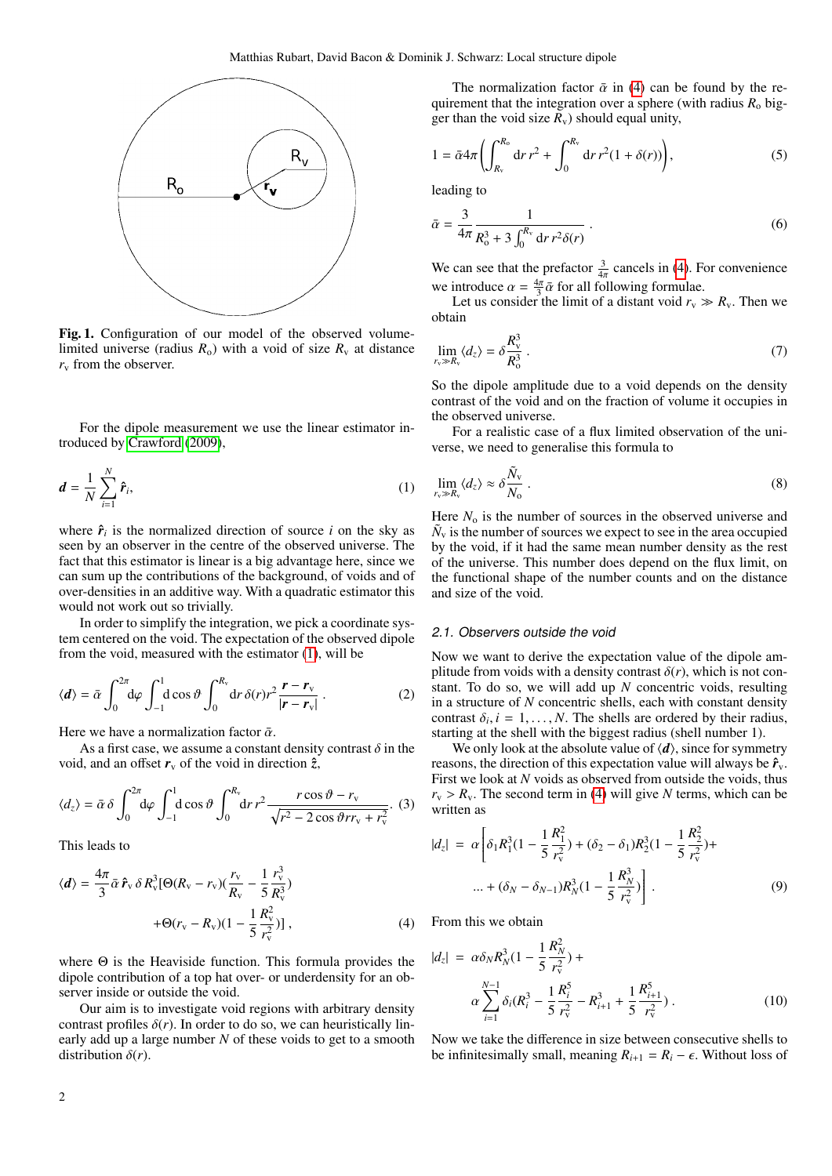

<span id="page-1-0"></span>Fig. 1. Configuration of our model of the observed volumelimited universe (radius  $R_0$ ) with a void of size  $R_v$  at distance  $r_v$  from the observer.

For the dipole measurement we use the linear estimator introduced by [Crawford](#page-7-13) [\(2009\)](#page-7-13),

<span id="page-1-1"></span>
$$
\boldsymbol{d} = \frac{1}{N} \sum_{i=1}^{N} \hat{\boldsymbol{r}}_i, \tag{1}
$$

where  $\hat{r}_i$  is the normalized direction of source *i* on the sky as seen by an observer in the centre of the observed universe. The fact that this estimator is linear is a big advantage here, since we can sum up the contributions of the background, of voids and of over-densities in an additive way. With a quadratic estimator this would not work out so trivially.

In order to simplify the integration, we pick a coordinate system centered on the void. The expectation of the observed dipole from the void, measured with the estimator [\(1\)](#page-1-1), will be

$$
\langle \mathbf{d} \rangle = \bar{\alpha} \int_0^{2\pi} d\varphi \int_{-1}^1 d\cos\vartheta \int_0^{R_v} dr \,\delta(r) r^2 \frac{\mathbf{r} - \mathbf{r}_v}{|\mathbf{r} - \mathbf{r}_v|} \,. \tag{2}
$$

Here we have a normalization factor  $\bar{\alpha}$ .

As a first case, we assume a constant density contrast  $\delta$  in the void, and an offset  $r_v$  of the void in direction  $\hat{z}$ ,

$$
\langle d_z \rangle = \bar{\alpha} \, \delta \int_0^{2\pi} d\varphi \int_{-1}^1 d\cos\vartheta \int_0^{R_v} dr \, r^2 \frac{r \cos\vartheta - r_v}{\sqrt{r^2 - 2\cos\vartheta r v_v + r_v^2}}. \tag{3}
$$

This leads to

<span id="page-1-2"></span>
$$
\langle d \rangle = \frac{4\pi}{3} \bar{\alpha} \, \hat{\mathbf{r}}_{\text{v}} \, \delta \, R_{\text{v}}^3 [\Theta (R_{\text{v}} - r_{\text{v}}) (\frac{r_{\text{v}}}{R_{\text{v}}} - \frac{1}{5} \frac{r_{\text{v}}^3}{R_{\text{v}}^3}) + \Theta (r_{\text{v}} - R_{\text{v}}) (1 - \frac{1}{5} \frac{R_{\text{v}}^2}{r_{\text{v}}^2}) ] \,, \tag{4}
$$

where  $\Theta$  is the Heaviside function. This formula provides the dipole contribution of a top hat over- or underdensity for an observer inside or outside the void.

Our aim is to investigate void regions with arbitrary density contrast profiles  $\delta(r)$ . In order to do so, we can heuristically linearly add up a large number *N* of these voids to get to a smooth distribution  $\delta(r)$ .

The normalization factor  $\bar{\alpha}$  in [\(4\)](#page-1-2) can be found by the requirement that the integration over a sphere (with radius  $R_0$  bigger than the void size  $R_v$ ) should equal unity,

$$
1 = \bar{\alpha} 4\pi \left( \int_{R_v}^{R_o} dr \, r^2 + \int_0^{R_v} dr \, r^2 (1 + \delta(r)) \right),\tag{5}
$$

leading to

<span id="page-1-4"></span>
$$
\bar{\alpha} = \frac{3}{4\pi} \frac{1}{R_0^3 + 3\int_0^{R_v} dr \, r^2 \delta(r)} \,. \tag{6}
$$

We can see that the prefactor  $\frac{3}{4\pi}$  cancels in [\(4\)](#page-1-2). For convenience we can see that the prefactor  $4\pi$  canceles in (4). The introduce  $\alpha = \frac{4\pi}{3}\bar{\alpha}$  for all following formulae.

Let us consider the limit of a distant void  $r_v \gg R_v$ . Then we obtain

$$
\lim_{r_v \gg R_v} \langle d_z \rangle = \delta \frac{R_v^3}{R_o^3} \ . \tag{7}
$$

So the dipole amplitude due to a void depends on the density contrast of the void and on the fraction of volume it occupies in the observed universe.

For a realistic case of a flux limited observation of the universe, we need to generalise this formula to

$$
\lim_{r_v \gg R_v} \langle d_z \rangle \approx \delta \frac{\tilde{N}_v}{N_0} \ . \tag{8}
$$

Here  $N_0$  is the number of sources in the observed universe and  $\tilde{N}_v$  is the number of sources we expect to see in the area occupied by the void, if it had the same mean number density as the rest of the universe. This number does depend on the flux limit, on the functional shape of the number counts and on the distance and size of the void.

#### <span id="page-1-3"></span>2.1. Observers outside the void

Now we want to derive the expectation value of the dipole amplitude from voids with a density contrast  $\delta(r)$ , which is not constant. To do so, we will add up *N* concentric voids, resulting in a structure of *N* concentric shells, each with constant density contrast  $\delta_i$ ,  $i = 1, ..., N$ . The shells are ordered by their radius, starting at the shell with the biggest radius (shell number 1) starting at the shell with the biggest radius (shell number 1).

We only look at the absolute value of  $\langle d \rangle$ , since for symmetry reasons, the direction of this expectation value will always be  $\hat{r}_v$ . First we look at N voids as observed from outside the voids, thus  $r_v > R_v$ . The second term in [\(4\)](#page-1-2) will give *N* terms, which can be written as

$$
|d_z| = \alpha \left[ \delta_1 R_1^3 (1 - \frac{1}{5} \frac{R_1^2}{r_v^2}) + (\delta_2 - \delta_1) R_2^3 (1 - \frac{1}{5} \frac{R_2^2}{r_v^2}) + \dots + (\delta_N - \delta_{N-1}) R_N^3 (1 - \frac{1}{5} \frac{R_N^3}{r_v^2}) \right].
$$
 (9)

From this we obtain

$$
|d_z| = \alpha \delta_N R_N^3 (1 - \frac{1}{5} \frac{R_N^2}{r_v^2}) +
$$
  
\n
$$
\alpha \sum_{i=1}^{N-1} \delta_i (R_i^3 - \frac{1}{5} \frac{R_i^5}{r_v^2} - R_{i+1}^3 + \frac{1}{5} \frac{R_{i+1}^5}{r_v^2}).
$$
\n(10)

Now we take the difference in size between consecutive shells to be infinitesimally small, meaning  $R_{i+1} = R_i - \epsilon$ . Without loss of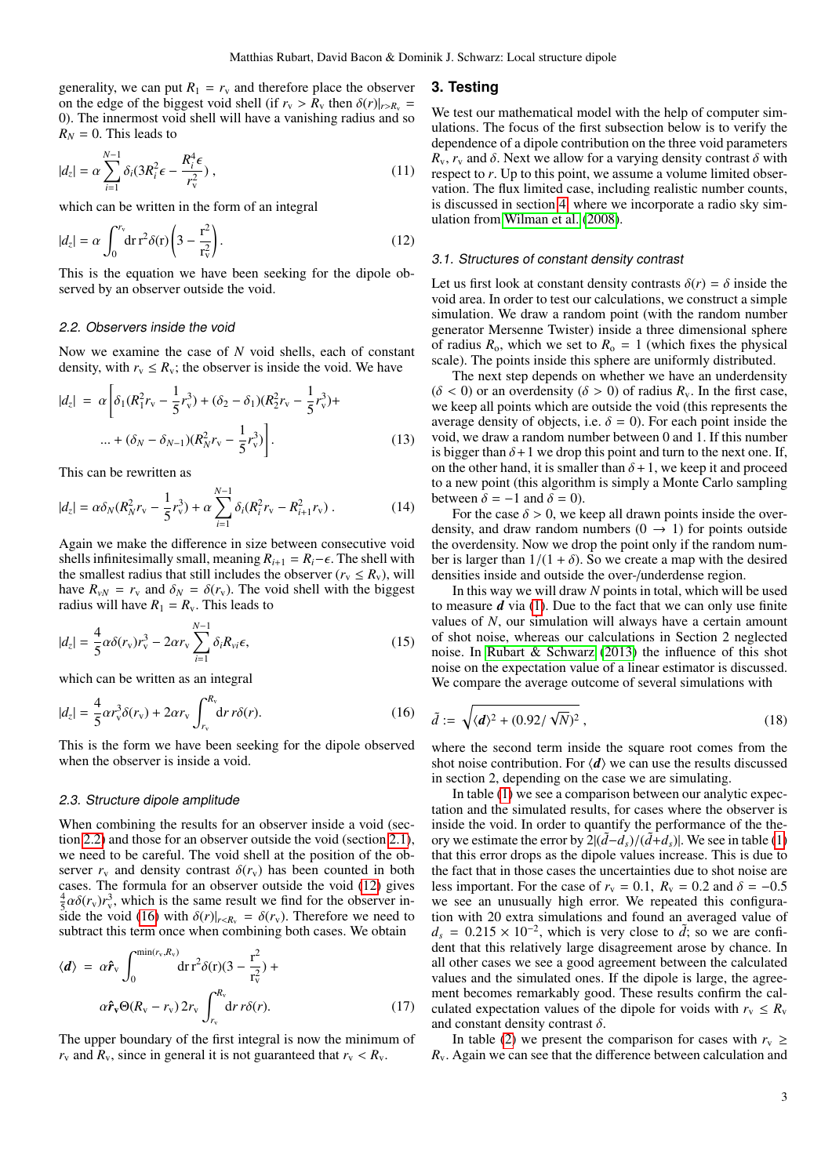generality, we can put  $R_1 = r_v$  and therefore place the observer on the edge of the biggest void shell (if  $r_v > R_v$  then  $\delta(r)|_{r>R_v} =$ 0). The innermost void shell will have a vanishing radius and so  $R_N = 0$ . This leads to

$$
|d_z| = \alpha \sum_{i=1}^{N-1} \delta_i (3R_i^2 \epsilon - \frac{R_i^4 \epsilon}{r_v^2}), \qquad (11)
$$

which can be written in the form of an integral

<span id="page-2-2"></span>
$$
|d_z| = \alpha \int_0^{r_v} dr \, r^2 \delta(r) \left(3 - \frac{r^2}{r_v^2}\right). \tag{12}
$$

This is the equation we have been seeking for the dipole observed by an observer outside the void.

# <span id="page-2-1"></span>2.2. Observers inside the void

Now we examine the case of *N* void shells, each of constant density, with  $r_v \leq R_v$ ; the observer is inside the void. We have

$$
|d_z| = \alpha \left[ \delta_1 (R_1^2 r_v - \frac{1}{5} r_v^3) + (\delta_2 - \delta_1)(R_2^2 r_v - \frac{1}{5} r_v^3) + \dots + (\delta_N - \delta_{N-1})(R_N^2 r_v - \frac{1}{5} r_v^3) \right].
$$
 (13)

This can be rewritten as

$$
|d_z| = \alpha \delta_N (R_N^2 r_{\rm v} - \frac{1}{5} r_{\rm v}^3) + \alpha \sum_{i=1}^{N-1} \delta_i (R_i^2 r_{\rm v} - R_{i+1}^2 r_{\rm v}) \,. \tag{14}
$$

Again we make the difference in size between consecutive void shells infinitesimally small, meaning  $R_{i+1} = R_i - \epsilon$ . The shell with the smallest radius that still includes the observer ( $r_v \le R_v$ ), will have  $R_{vN} = r_v$  and  $\delta_N = \delta(r_v)$ . The void shell with the biggest radius will have  $R_1 = R_v$ . This leads to

$$
|d_z| = \frac{4}{5}\alpha\delta(r_v)r_v^3 - 2\alpha r_v \sum_{i=1}^{N-1} \delta_i R_{vi}\epsilon,
$$
\n(15)

which can be written as an integral

<span id="page-2-3"></span>
$$
|d_z| = \frac{4}{5} \alpha r_v^3 \delta(r_v) + 2\alpha r_v \int_{r_v}^{R_v} dr \, r\delta(r). \tag{16}
$$

This is the form we have been seeking for the dipole observed when the observer is inside a void.

#### 2.3. Structure dipole amplitude

When combining the results for an observer inside a void (section [2.2\)](#page-2-1) and those for an observer outside the void (section [2.1\)](#page-1-3), we need to be careful. The void shell at the position of the observer  $r_v$  and density contrast  $\delta(r_v)$  has been counted in both cases. The formula for an observer outside the void [\(12\)](#page-2-2) gives  $\frac{4}{5}\alpha\delta(r_v)r_v^3$ , which is the same result we find for the observer in-<br>side the void (16) with  $\delta(r)|_{r,h} = \delta(r_v)$ . Therefore we need to side the void [\(16\)](#page-2-3) with  $\delta(r)|_{r \le R_v} = \delta(r_v)$ . Therefore we need to subtract this term once when combining both cases. We obtain

<span id="page-2-5"></span>
$$
\langle d \rangle = \alpha \hat{r}_{v} \int_{0}^{\min(r_{v}, R_{v})} dr r^{2} \delta(r) (3 - \frac{r^{2}}{r_{v}^{2}}) + \alpha \hat{r}_{v} \Theta(R_{v} - r_{v}) 2r_{v} \int_{r_{v}}^{R_{v}} dr r \delta(r). \qquad (17)
$$

The upper boundary of the first integral is now the minimum of  $r_v$  and  $R_v$ , since in general it is not guaranteed that  $r_v < R_v$ .

#### <span id="page-2-0"></span>**3. Testing**

We test our mathematical model with the help of computer simulations. The focus of the first subsection below is to verify the dependence of a dipole contribution on the three void parameters  $R_v$ ,  $r_v$  and  $\delta$ . Next we allow for a varying density contrast  $\delta$  with respect to *r*. Up to this point, we assume a volume limited observation. The flux limited case, including realistic number counts, is discussed in section [4,](#page-4-0) where we incorporate a radio sky simulation from [Wilman et al.](#page-7-14) [\(2008\)](#page-7-14).

#### <span id="page-2-6"></span>3.1. Structures of constant density contrast

Let us first look at constant density contrasts  $\delta(r) = \delta$  inside the void area. In order to test our calculations, we construct a simple simulation. We draw a random point (with the random number generator Mersenne Twister) inside a three dimensional sphere of radius  $R_0$ , which we set to  $R_0 = 1$  (which fixes the physical scale). The points inside this sphere are uniformly distributed.

The next step depends on whether we have an underdensity  $(\delta < 0)$  or an overdensity  $(\delta > 0)$  of radius  $R_v$ . In the first case, we keep all points which are outside the void (this represents the average density of objects, i.e.  $\delta = 0$ ). For each point inside the void, we draw a random number between 0 and 1. If this number is bigger than  $\delta + 1$  we drop this point and turn to the next one. If, on the other hand, it is smaller than  $\delta + 1$ , we keep it and proceed to a new point (this algorithm is simply a Monte Carlo sampling between  $\delta = -1$  and  $\delta = 0$ ).

For the case  $\delta > 0$ , we keep all drawn points inside the overdensity, and draw random numbers  $(0 \rightarrow 1)$  for points outside the overdensity. Now we drop the point only if the random number is larger than  $1/(1 + \delta)$ . So we create a map with the desired densities inside and outside the over-/underdense region.

In this way we will draw *N* points in total, which will be used to measure *d* via [\(1\)](#page-1-1). Due to the fact that we can only use finite values of *N*, our simulation will always have a certain amount of shot noise, whereas our calculations in Section 2 neglected noise. In [Rubart & Schwarz](#page-7-4) [\(2013\)](#page-7-4) the influence of this shot noise on the expectation value of a linear estimator is discussed. We compare the average outcome of several simulations with

<span id="page-2-4"></span>
$$
\tilde{d} := \sqrt{\langle d \rangle^2 + (0.92/\sqrt{N})^2},\tag{18}
$$

where the second term inside the square root comes from the shot noise contribution. For  $\langle d \rangle$  we can use the results discussed in section 2, depending on the case we are simulating.

In table [\(1\)](#page-3-0) we see a comparison between our analytic expectation and the simulated results, for cases where the observer is inside the void. In order to quantify the performance of the theory we estimate the error by  $2|(\tilde{d}-d_s)/(\tilde{d}+d_s)|$ . We see in table [\(1\)](#page-3-0) that this error drops as the dipole values increase. This is due to the fact that in those cases the uncertainties due to shot noise are less important. For the case of  $r_v = 0.1$ ,  $R_v = 0.2$  and  $\delta = -0.5$ we see an unusually high error. We repeated this configuration with 20 extra simulations and found an averaged value of  $d_s = 0.215 \times 10^{-2}$ , which is very close to  $d$ ; so we are confident that this relatively large disagreement arose by chance. In dent that this relatively large disagreement arose by chance. In all other cases we see a good agreement between the calculated values and the simulated ones. If the dipole is large, the agreement becomes remarkably good. These results confirm the calculated expectation values of the dipole for voids with  $r_v \leq R_v$ and constant density contrast  $\delta$ .

In table [\(2\)](#page-3-1) we present the comparison for cases with  $r_v \geq$ *R*v. Again we can see that the difference between calculation and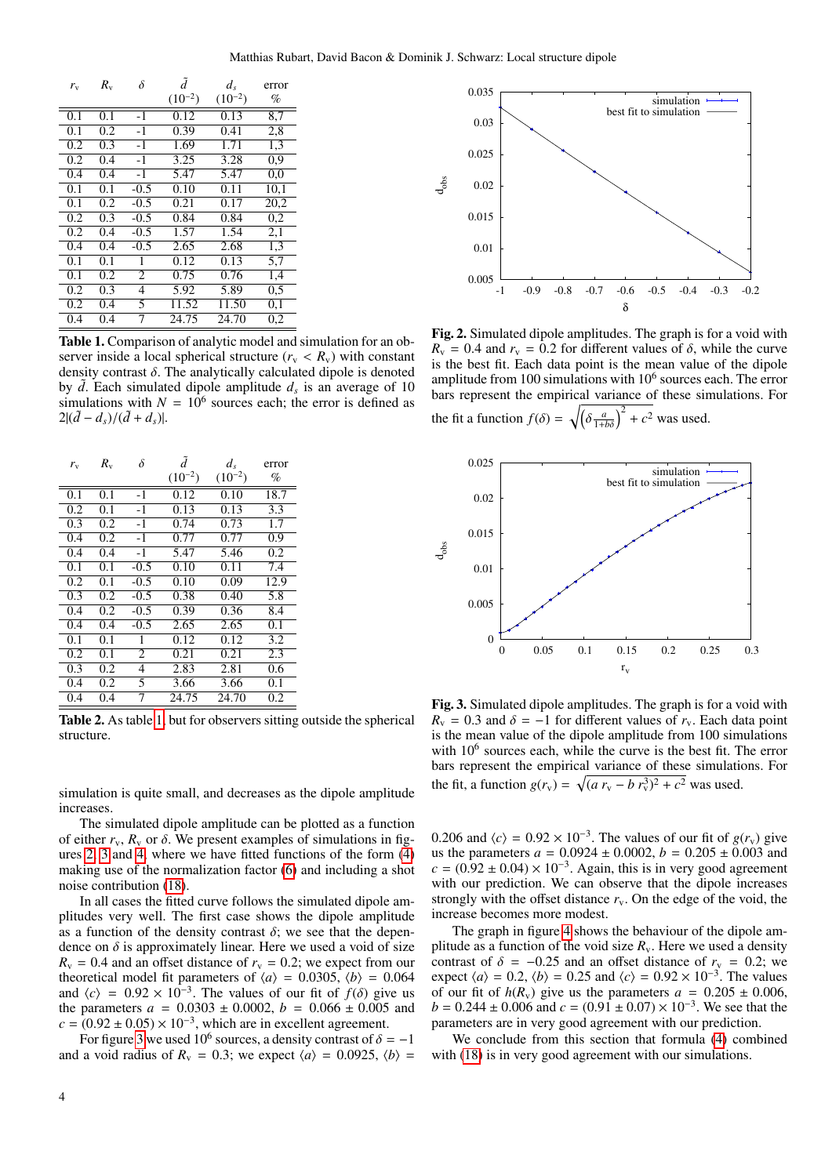| $r_{\rm v}$      | $R_{\rm v}$ | $\delta$ | ã           | $d_{s}$           | error |
|------------------|-------------|----------|-------------|-------------------|-------|
|                  |             |          | $(10^{-2})$ | $(10^{-2})$       | %     |
| 0.1              | 0.1         | $-1$     | 0.12        | 0.13              | 8,7   |
| 0.1              | 0.2         | $-1$     | 0.39        | 0.41              | 2,8   |
| 0.2              | 0.3         | $-1$     | 1.69        | 1.71              | 1,3   |
| 0.2              | 0.4         | $-1$     | 3.25        | 3.28              | 0.9   |
| 0.4              | 0.4         | $-1$     | 5.47        | 5.47              | 0.0   |
| 0.1              | 0.1         | $-0.5$   | 0.10        | 0.11              | 10,1  |
| 0.1              | 0.2         | $-0.5$   | 0.21        | $0.\overline{17}$ | 20,2  |
| 0.2              | 0.3         | $-0.5$   | 0.84        | 0.84              | 0,2   |
| 0.2              | 0.4         | $-0.5$   | 1.57        | 1.54              | 2,1   |
| $0.\overline{4}$ | 0.4         | $-0.5$   | 2.65        | 2.68              | 1,3   |
| 0.1              | 0.1         | 1        | 0.12        | 0.13              | 5,7   |
| 0.1              | 0.2         | 2        | 0.75        | 0.76              | 1,4   |
| 0.2              | 0.3         | 4        | 5.92        | 5.89              | 0.5   |
| 0.2              | 0.4         | 5        | 11.52       | 11.50             | 0,1   |
| 0.4              | 0.4         | 7        | 24.75       | 24.70             | 0,2   |

<span id="page-3-0"></span>Table 1. Comparison of analytic model and simulation for an observer inside a local spherical structure ( $r_v < R_v$ ) with constant density contrast  $\delta$ . The analytically calculated dipole is denoted by  $\tilde{d}$ . Each simulated dipole amplitude  $d_s$  is an average of 10 simulations with  $N = 10^6$  sources each; the error is defined as  $2|(\tilde{d} - d_s)/(\tilde{d} + d_s)|$ .

| $r_{\rm v}$ | $R_{v}$ | δ      | ã           | $d_{s}$     | error |
|-------------|---------|--------|-------------|-------------|-------|
|             |         |        | $(10^{-2})$ | $(10^{-2})$ | $\%$  |
| 0.1         | 0.1     | $-1$   | 0.12        | 0.10        | 18.7  |
| 0.2         | 0.1     | $-1$   | 0.13        | 0.13        | 3.3   |
| 0.3         | 0.2     | $-1$   | 0.74        | 0.73        | 1.7   |
| 0.4         | 0.2     | $-1$   | 0.77        | 0.77        | 0.9   |
| 0.4         | 0.4     | $-1$   | 5.47        | 5.46        | 0.2   |
| 0.1         | 0.1     | $-0.5$ | 0.10        | 0.11        | 7.4   |
| 0.2         | 0.1     | $-0.5$ | 0.10        | 0.09        | 12.9  |
| 0.3         | 0.2     | $-0.5$ | 0.38        | 0.40        | 5.8   |
| 0.4         | 0.2     | $-0.5$ | 0.39        | 0.36        | 8.4   |
| 0.4         | 0.4     | $-0.5$ | 2.65        | 2.65        | 0.1   |
| 0.1         | 0.1     | 1      | 0.12        | 0.12        | 3.2   |
| 0.2         | 0.1     | 2      | 0.21        | 0.21        | 2.3   |
| 0.3         | 0.2     | 4      | 2.83        | 2.81        | 0.6   |
| 0.4         | 0.2     | 5      | 3.66        | 3.66        | 0.1   |
| 0.4         | 0.4     | 7      | 24.75       | 24.70       | 0.2   |

<span id="page-3-1"></span>Table 2. As table [1,](#page-3-0) but for observers sitting outside the spherical structure.

simulation is quite small, and decreases as the dipole amplitude increases.

The simulated dipole amplitude can be plotted as a function of either  $r_v$ ,  $R_v$  or  $\delta$ . We present examples of simulations in figures [2,](#page-3-2) [3](#page-3-3) and [4,](#page-4-1) where we have fitted functions of the form [\(4\)](#page-1-2) making use of the normalization factor [\(6\)](#page-1-4) and including a shot noise contribution [\(18\)](#page-2-4).

In all cases the fitted curve follows the simulated dipole amplitudes very well. The first case shows the dipole amplitude as a function of the density contrast  $\delta$ ; we see that the dependence on  $\delta$  is approximately linear. Here we used a void of size  $R<sub>v</sub> = 0.4$  and an offset distance of  $r<sub>v</sub> = 0.2$ ; we expect from our theoretical model fit parameters of  $\langle a \rangle = 0.0305$ ,  $\langle b \rangle = 0.064$ and  $\langle c \rangle = 0.92 \times 10^{-3}$ . The values of our fit of  $f(\delta)$  give us the parameters  $a = 0.0303 + 0.0002$   $h = 0.066 + 0.005$  and the parameters  $a = 0.0303 \pm 0.0002$ ,  $b = 0.066 \pm 0.005$  and  $c = (0.92 \pm 0.05) \times 10^{-3}$ , which are in excellent agreement.<br>For figure 3 we used 10<sup>6</sup> sources a density contrast of  $\delta$ .

For figure [3](#page-3-3) we used 10<sup>6</sup> sources, a density contrast of  $\delta = -1$ <br>a void radius of  $R_0 = 0.3$ ; we expect  $\langle a \rangle = 0.0925$   $\langle b \rangle =$ and a void radius of  $R_v = 0.3$ ; we expect  $\langle a \rangle = 0.0925$ ,  $\langle b \rangle =$ 



<span id="page-3-2"></span>Fig. 2. Simulated dipole amplitudes. The graph is for a void with  $R_v = 0.4$  and  $r_v = 0.2$  for different values of  $\delta$ , while the curve is the best fit. Each data point is the mean value of the dipole amplitude from 100 simulations with  $10<sup>6</sup>$  sources each. The error bars represent the empirical variance of these simulations. For the fit a function  $f(\delta) = \sqrt{2}$ δ  $rac{a}{1+b\delta}$  $\int_0^2 + c^2$  was used.



<span id="page-3-3"></span>Fig. 3. Simulated dipole amplitudes. The graph is for a void with  $R_v = 0.3$  and  $\delta = -1$  for different values of  $r_v$ . Each data point is the mean value of the dipole amplitude from 100 simulations with  $10^6$  sources each, while the curve is the best fit. The error bars represent the empirical variance of these simulations. For the fit, a function  $g(r_v) = \sqrt{(a r_v - b r_v^3)^2 + c^2}$  was used.

0.206 and  $\langle c \rangle = 0.92 \times 10^{-3}$ . The values of our fit of  $g(r_v)$  give us the parameters  $a = 0.0924 + 0.0002$ .  $h = 0.205 + 0.003$  and us the parameters  $a = 0.0924 \pm 0.0002$ ,  $b = 0.205 \pm 0.003$  and  $c = (0.92 \pm 0.04) \times 10^{-3}$ . Again, this is in very good agreement with our prediction. We can observe that the dipole increases with our prediction. We can observe that the dipole increases strongly with the offset distance  $r_v$ . On the edge of the void, the increase becomes more modest.

The graph in figure [4](#page-4-1) shows the behaviour of the dipole amplitude as a function of the void size  $R_v$ . Here we used a density contrast of  $\delta = -0.25$  and an offset distance of  $r_v = 0.2$ ; we expect  $\langle a \rangle = 0.2$ ,  $\langle b \rangle = 0.25$  and  $\langle c \rangle = 0.92 \times 10^{-3}$ . The values of our fit of  $h(R_0)$  give us the parameters  $a = 0.205 + 0.006$ of our fit of  $h(R_v)$  give us the parameters  $a = 0.205 \pm 0.006$ ,  $b = 0.244 \pm 0.006$  and  $c = (0.91 \pm 0.07) \times 10^{-3}$ . We see that the parameters are in very good agreement with our prediction parameters are in very good agreement with our prediction.

We conclude from this section that formula [\(4\)](#page-1-2) combined with [\(18\)](#page-2-4) is in very good agreement with our simulations.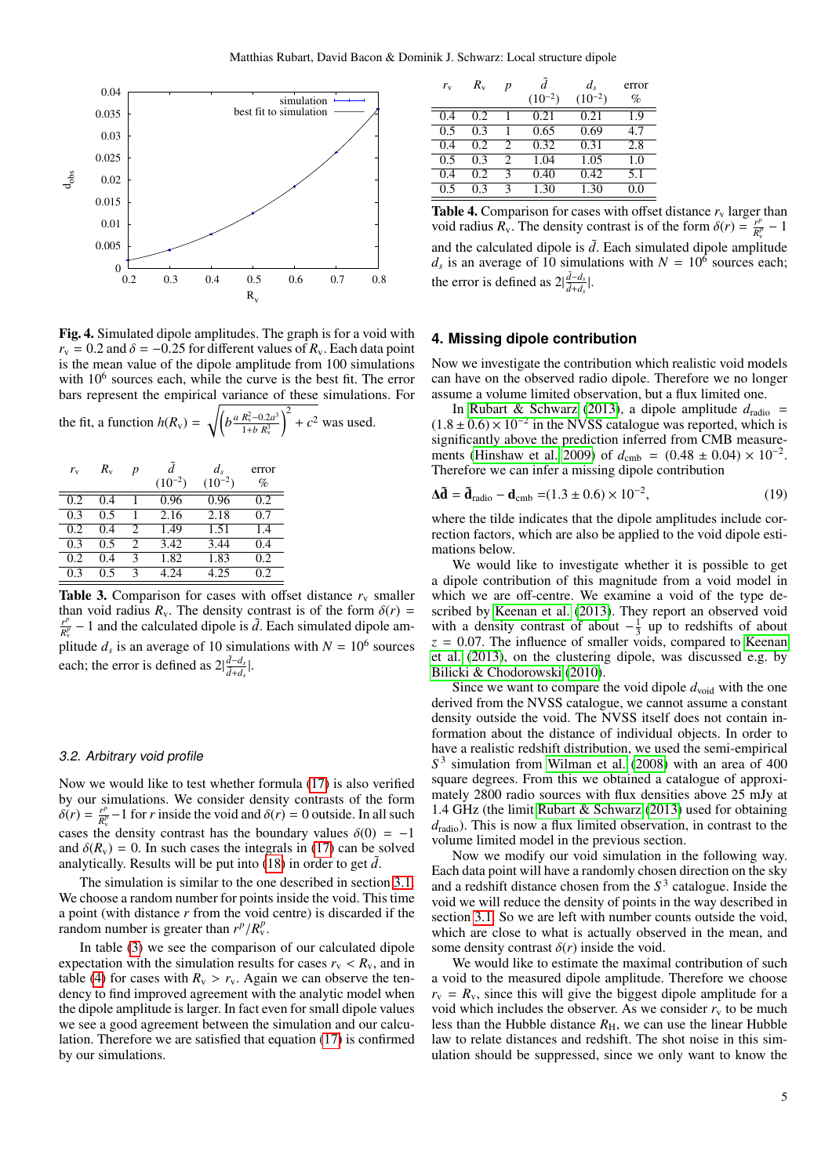

<span id="page-4-1"></span>Fig. 4. Simulated dipole amplitudes. The graph is for a void with  $r_v$  = 0.2 and  $\delta$  = −0.25 for different values of  $R_v$ . Each data point is the mean value of the dipole amplitude from 100 simulations with  $10^6$  sources each, while the curve is the best fit. The error bars represent the empirical variance of these simulations. For

| the fit, a function $h(R_v) = \sqrt{\left(b\frac{a R_v^2 - 0.2a^3}{1 + b R_v^3}\right)^2 + c^2}$ was used. |  |  |
|------------------------------------------------------------------------------------------------------------|--|--|
|------------------------------------------------------------------------------------------------------------|--|--|

| $r_{\rm v}$ | $R_{\rm v}$ | p                           | $(10^{-2})$ | $d_{s}$<br>$(10^{-2})$ | error<br>$\%$ |
|-------------|-------------|-----------------------------|-------------|------------------------|---------------|
| 0.2         | 0.4         |                             | 0.96        | 0.96                   | 0.2           |
| 0.3         | 0.5         |                             | 2.16        | 2.18                   | 0.7           |
| 0.2         | 0.4         | $\mathcal{D}_{\mathcal{A}}$ | 1.49        | 1.51                   | 1.4           |
| 0.3         | ი ร         | 2                           | 3.42        | 3.44                   | 0.4           |
| 0.2         | 0.4         | κ                           | 1.82        | 1.83                   | 0.2           |
| 0.3         | ი ร         |                             | 4.24        | 4.25                   | 0.2           |

<span id="page-4-2"></span>**Table 3.** Comparison for cases with offset distance  $r_v$  smaller than void radius  $R_v$ . The density contrast is of the form  $\delta(r)$  = *r p*  $\frac{r^p}{R_v^p} - 1$  and the calculated dipole is  $\tilde{d}$ . Each simulated dipole amplitude  $d_s$  is an average of 10 simulations with  $N = 10^6$  sources each; the error is defined as  $2|\frac{d-d_s}{dt}$  $\frac{d-d_s}{\tilde{d}+d_s}$ .

#### 3.2. Arbitrary void profile

Now we would like to test whether formula [\(17\)](#page-2-5) is also verified by our simulations. We consider density contrasts of the form  $\delta(r) = \frac{r^p}{R_v^p}$  $R_{\rm g}^{p}$  – 1 for *r* inside the void and  $\delta(r) = 0$  outside. In all such  $\frac{R_{\rm g}}{r}$  density contract has the houndary values  $\delta(0) = 1$ cases the density contrast has the boundary values  $\delta(0) = -1$ and  $\delta(R_v) = 0$ . In such cases the integrals in [\(17\)](#page-2-5) can be solved analytically. Results will be put into  $(18)$  in order to get  $\tilde{d}$ .

The simulation is similar to the one described in section [3.1.](#page-2-6) We choose a random number for points inside the void. This time a point (with distance *r* from the void centre) is discarded if the random number is greater than  $r^p/R_v^p$ .

In table [\(3\)](#page-4-2) we see the comparison of our calculated dipole expectation with the simulation results for cases  $r_v < R_v$ , and in table [\(4\)](#page-4-3) for cases with  $R_v > r_v$ . Again we can observe the tendency to find improved agreement with the analytic model when the dipole amplitude is larger. In fact even for small dipole values we see a good agreement between the simulation and our calculation. Therefore we are satisfied that equation [\(17\)](#page-2-5) is confirmed by our simulations.

| $r_{\rm v}$ | $R_{v}$ | p                           | Ã<br>$(10^{-2})$ | $d_{s}$<br>$(10^{-2})$ | error<br>$\%$ |
|-------------|---------|-----------------------------|------------------|------------------------|---------------|
| 0.4         | 0.2     |                             | 0.21             | 0.21                   | 1.9           |
| 0.5         | 0.3     |                             | 0.65             | 0.69                   | 4.7           |
| 0.4         | 0.2     | $\mathcal{D}_{\mathcal{A}}$ | 0.32             | 0.31                   | 2.8           |
| 0.5         | 0.3     | 2                           | 1.04             | 1.05                   | 1.0           |
| 0.4         | 0.2     | 3                           | 0.40             | 0.42                   | 5.1           |
| 0.5         | 0.3     | 3                           | 1.30             | 1.30                   | 0.0           |

<span id="page-4-3"></span>**Table 4.** Comparison for cases with offset distance  $r_v$  larger than void radius  $R_v$ . The density contrast is of the form  $\delta(r) = \frac{r^p}{R_v^p}$  $\frac{r^p}{R_v^p}-1$ and the calculated dipole is  $\tilde{d}$ . Each simulated dipole amplitude  $d_s$  is an average of 10 simulations with  $N = 10^6$  sources each; the error is defined as  $2|\frac{\tilde{d}-d_s}{\tilde{d}+d_s}$  $\frac{d-d_s}{\tilde{d}+d_s}$ .

# <span id="page-4-0"></span>**4. Missing dipole contribution**

Now we investigate the contribution which realistic void models can have on the observed radio dipole. Therefore we no longer assume a volume limited observation, but a flux limited one.

In [Rubart & Schwarz](#page-7-4) [\(2013\)](#page-7-4), a dipole amplitude  $d_{\text{radio}} =$  $(1.8 \pm 0.6) \times 10^{-2}$  in the NVSS catalogue was reported, which is significantly above the prediction inferred from CMB measuresignificantly above the prediction inferred from CMB measure-ments [\(Hinshaw et al. 2009\)](#page-7-9) of  $d_{\rm cmb} = (0.48 \pm 0.04) \times 10^{-2}$ .<br>Therefore we can infer a missing dipole contribution Therefore we can infer a missing dipole contribution

$$
\Delta \tilde{\mathbf{d}} = \tilde{\mathbf{d}}_{\text{radio}} - \mathbf{d}_{\text{cmb}} = (1.3 \pm 0.6) \times 10^{-2},\tag{19}
$$

where the tilde indicates that the dipole amplitudes include correction factors, which are also be applied to the void dipole estimations below.

We would like to investigate whether it is possible to get a dipole contribution of this magnitude from a void model in which we are off-centre. We examine a void of the type described by [Keenan et al.](#page-7-6) [\(2013\)](#page-7-6). They report an observed void with a density contrast of about  $-\frac{1}{3}$  up to redshifts of about  $z = 0.07$ . The influence of smaller voids, compared to [Keenan](#page-7-6) [et al.](#page-7-6) [\(2013\)](#page-7-6), on the clustering dipole, was discussed e.g. by [Bilicki & Chodorowski](#page-7-15) [\(2010\)](#page-7-15).

Since we want to compare the void dipole  $d_{\text{void}}$  with the one derived from the NVSS catalogue, we cannot assume a constant density outside the void. The NVSS itself does not contain information about the distance of individual objects. In order to have a realistic redshift distribution, we used the semi-empirical *S* 3 simulation from [Wilman et al.](#page-7-14) [\(2008\)](#page-7-14) with an area of 400 square degrees. From this we obtained a catalogue of approximately 2800 radio sources with flux densities above 25 mJy at <sup>1</sup>.4 GHz (the limit [Rubart & Schwarz](#page-7-4) [\(2013\)](#page-7-4) used for obtaining  $d_{\text{radio}}$ ). This is now a flux limited observation, in contrast to the volume limited model in the previous section.

Now we modify our void simulation in the following way. Each data point will have a randomly chosen direction on the sky and a redshift distance chosen from the *S* 3 catalogue. Inside the void we will reduce the density of points in the way described in section [3.1.](#page-2-6) So we are left with number counts outside the void, which are close to what is actually observed in the mean, and some density contrast  $\delta(r)$  inside the void.

We would like to estimate the maximal contribution of such a void to the measured dipole amplitude. Therefore we choose  $r_v = R_v$ , since this will give the biggest dipole amplitude for a void which includes the observer. As we consider  $r_v$  to be much less than the Hubble distance  $R<sub>H</sub>$ , we can use the linear Hubble law to relate distances and redshift. The shot noise in this simulation should be suppressed, since we only want to know the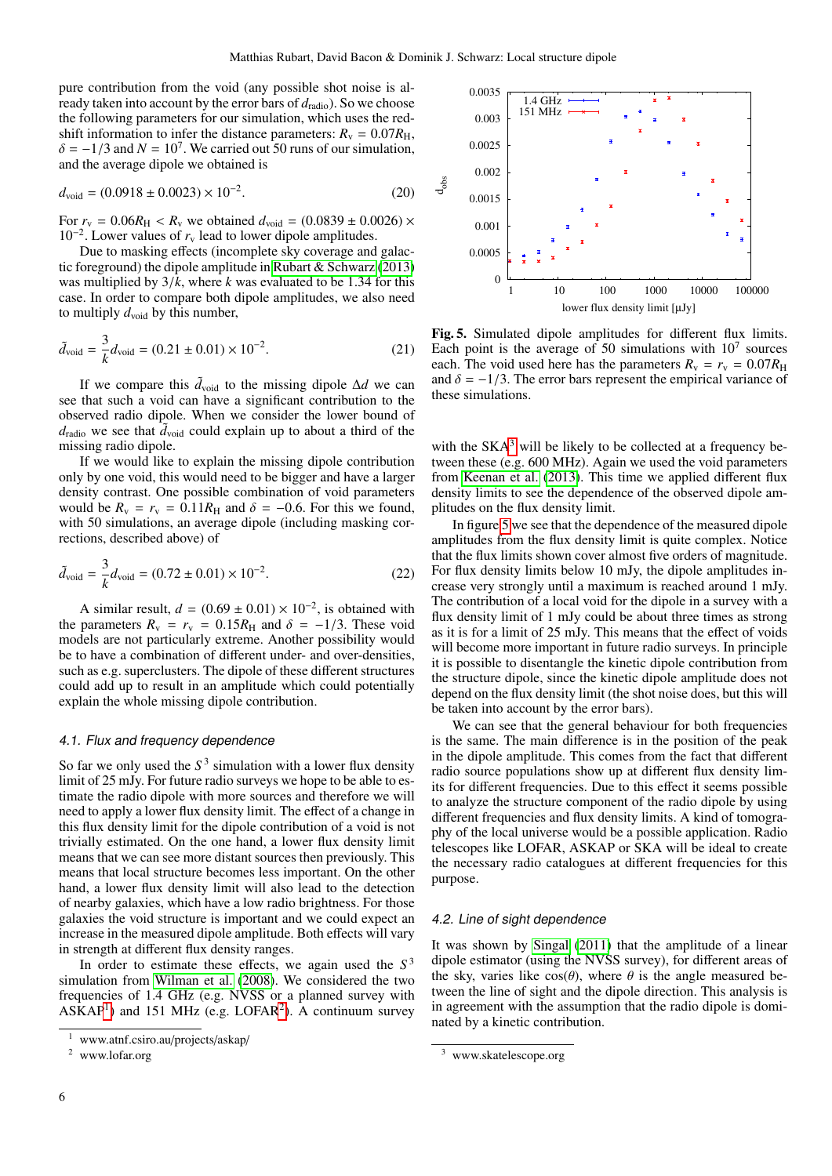pure contribution from the void (any possible shot noise is already taken into account by the error bars of  $d_{\text{radio}}$ ). So we choose the following parameters for our simulation, which uses the redshift information to infer the distance parameters:  $R_v = 0.07R_H$ ,  $\delta = -1/3$  and  $N = 10^7$ . We carried out 50 runs of our simulation, and the average dipole we obtained is and the average dipole we obtained is

$$
d_{\text{void}} = (0.0918 \pm 0.0023) \times 10^{-2}.
$$
 (20)

For  $r_v = 0.06R_H < R_v$  we obtained  $d_{void} = (0.0839 \pm 0.0026) \times$ 10<sup>-2</sup>. Lower values of  $r<sub>v</sub>$  lead to lower dipole amplitudes.

Due to masking effects (incomplete sky coverage and galactic foreground) the dipole amplitude in [Rubart & Schwarz](#page-7-4) [\(2013\)](#page-7-4) was multiplied by 3/*k*, where *<sup>k</sup>* was evaluated to be 1.34 for this case. In order to compare both dipole amplitudes, we also need to multiply  $d_{\text{void}}$  by this number,

$$
\tilde{d}_{\text{void}} = \frac{3}{k} d_{\text{void}} = (0.21 \pm 0.01) \times 10^{-2}.
$$
 (21)

If we compare this  $\tilde{d}_{\text{void}}$  to the missing dipole  $\Delta d$  we can see that such a void can have a significant contribution to the observed radio dipole. When we consider the lower bound of  $d_{\text{radio}}$  we see that  $\tilde{d}_{\text{void}}$  could explain up to about a third of the missing radio dipole.

If we would like to explain the missing dipole contribution only by one void, this would need to be bigger and have a larger density contrast. One possible combination of void parameters would be  $R_v = r_v = 0.11R_H$  and  $\delta = -0.6$ . For this we found, with 50 simulations, an average dipole (including masking corrections, described above) of

$$
\tilde{d}_{\text{void}} = \frac{3}{k} d_{\text{void}} = (0.72 \pm 0.01) \times 10^{-2}.
$$
 (22)

A similar result,  $d = (0.69 \pm 0.01) \times 10^{-2}$ , is obtained with parameters  $R_{\text{u}} = r_{\text{u}} = 0.15 R_{\text{U}}$  and  $\delta = -1/3$ . These void the parameters  $R_v = r_v = 0.15R_H$  and  $\delta = -1/3$ . These void models are not particularly extreme. Another possibility would be to have a combination of different under- and over-densities, such as e.g. superclusters. The dipole of these different structures could add up to result in an amplitude which could potentially explain the whole missing dipole contribution.

# 4.1. Flux and frequency dependence

So far we only used the  $S<sup>3</sup>$  simulation with a lower flux density limit of 25 mJy. For future radio surveys we hope to be able to estimate the radio dipole with more sources and therefore we will need to apply a lower flux density limit. The effect of a change in this flux density limit for the dipole contribution of a void is not trivially estimated. On the one hand, a lower flux density limit means that we can see more distant sources then previously. This means that local structure becomes less important. On the other hand, a lower flux density limit will also lead to the detection of nearby galaxies, which have a low radio brightness. For those galaxies the void structure is important and we could expect an increase in the measured dipole amplitude. Both effects will vary in strength at different flux density ranges.

In order to estimate these effects, we again used the  $S<sup>3</sup>$ simulation from [Wilman et al.](#page-7-14) [\(2008\)](#page-7-14). We considered the two frequencies of 1.4 GHz (e.g. NVSS or a planned survey with  $ASKAP<sup>1</sup>$  $ASKAP<sup>1</sup>$  $ASKAP<sup>1</sup>$ ) and 151 MHz (e.g. LOFAR<sup>[2](#page-5-1)</sup>). A continuum survey



<span id="page-5-3"></span>Fig. 5. Simulated dipole amplitudes for different flux limits. Each point is the average of 50 simulations with  $10<sup>7</sup>$  sources each. The void used here has the parameters  $R_v = r_v = 0.07R_H$ and  $\delta = -1/3$ . The error bars represent the empirical variance of these simulations.

with the  $SKA<sup>3</sup>$  $SKA<sup>3</sup>$  $SKA<sup>3</sup>$  will be likely to be collected at a frequency between these (e.g. 600 MHz). Again we used the void parameters from [Keenan et al.](#page-7-6) [\(2013\)](#page-7-6). This time we applied different flux density limits to see the dependence of the observed dipole amplitudes on the flux density limit.

In figure [5](#page-5-3) we see that the dependence of the measured dipole amplitudes from the flux density limit is quite complex. Notice that the flux limits shown cover almost five orders of magnitude. For flux density limits below 10 mJy, the dipole amplitudes increase very strongly until a maximum is reached around 1 mJy. The contribution of a local void for the dipole in a survey with a flux density limit of 1 mJy could be about three times as strong as it is for a limit of 25 mJy. This means that the effect of voids will become more important in future radio surveys. In principle it is possible to disentangle the kinetic dipole contribution from the structure dipole, since the kinetic dipole amplitude does not depend on the flux density limit (the shot noise does, but this will be taken into account by the error bars).

We can see that the general behaviour for both frequencies is the same. The main difference is in the position of the peak in the dipole amplitude. This comes from the fact that different radio source populations show up at different flux density limits for different frequencies. Due to this effect it seems possible to analyze the structure component of the radio dipole by using different frequencies and flux density limits. A kind of tomography of the local universe would be a possible application. Radio telescopes like LOFAR, ASKAP or SKA will be ideal to create the necessary radio catalogues at different frequencies for this purpose.

# 4.2. Line of sight dependence

It was shown by [Singal](#page-7-2) [\(2011\)](#page-7-2) that the amplitude of a linear dipole estimator (using the NVSS survey), for different areas of the sky, varies like  $cos(\theta)$ , where  $\theta$  is the angle measured between the line of sight and the dipole direction. This analysis is in agreement with the assumption that the radio dipole is dominated by a kinetic contribution.

<span id="page-5-0"></span><sup>1</sup> www.atnf.csiro.au/projects/askap/

<span id="page-5-1"></span><sup>2</sup> www.lofar.org

<span id="page-5-2"></span><sup>3</sup> www.skatelescope.org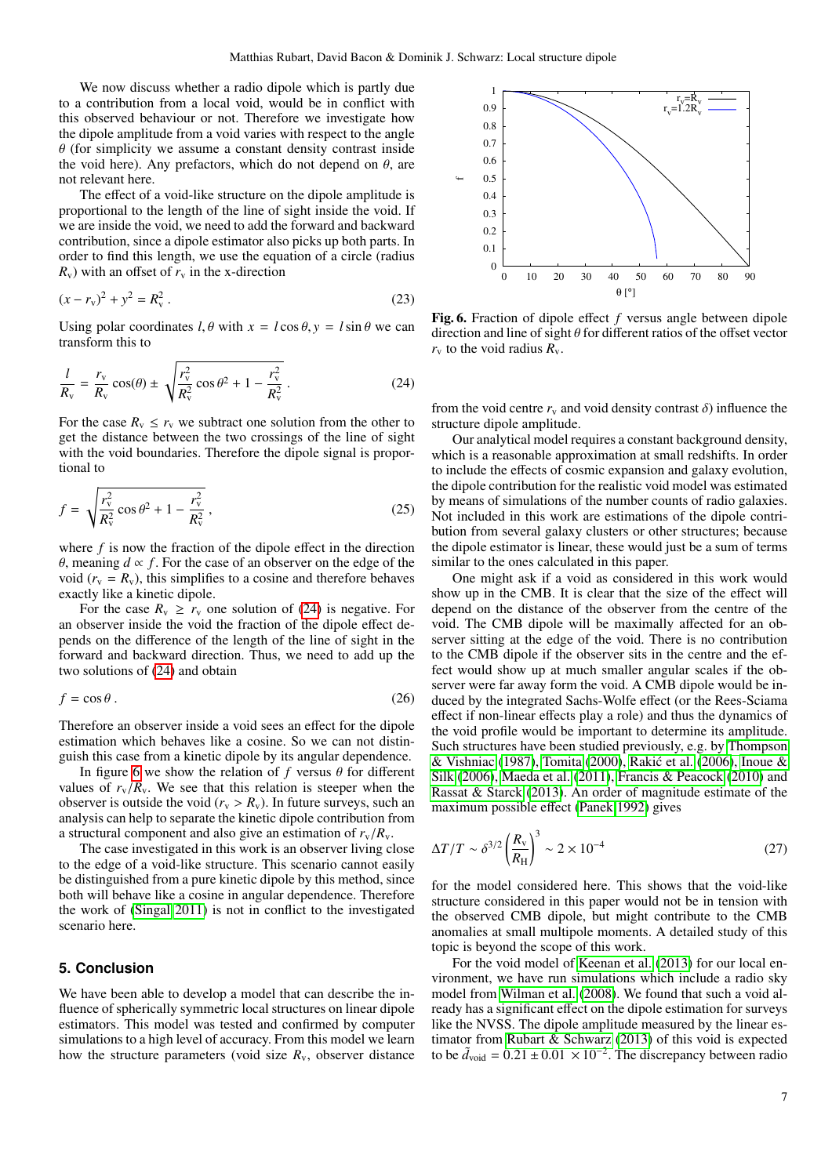We now discuss whether a radio dipole which is partly due to a contribution from a local void, would be in conflict with this observed behaviour or not. Therefore we investigate how the dipole amplitude from a void varies with respect to the angle  $\theta$  (for simplicity we assume a constant density contrast inside the void here). Any prefactors, which do not depend on  $\theta$ , are not relevant here.

The effect of a void-like structure on the dipole amplitude is proportional to the length of the line of sight inside the void. If we are inside the void, we need to add the forward and backward contribution, since a dipole estimator also picks up both parts. In order to find this length, we use the equation of a circle (radius  $R_v$ ) with an offset of  $r_v$  in the x-direction

$$
(x - r_v)^2 + y^2 = R_v^2.
$$
 (23)

Using polar coordinates  $l, \theta$  with  $x = l \cos \theta$ ,  $y = l \sin \theta$  we can transform this to

<span id="page-6-1"></span>
$$
\frac{l}{R_{\rm v}} = \frac{r_{\rm v}}{R_{\rm v}} \cos(\theta) \pm \sqrt{\frac{r_{\rm v}^2}{R_{\rm v}^2} \cos \theta^2 + 1 - \frac{r_{\rm v}^2}{R_{\rm v}^2}} \,. \tag{24}
$$

For the case  $R_v \leq r_v$  we subtract one solution from the other to get the distance between the two crossings of the line of sight with the void boundaries. Therefore the dipole signal is proportional to

$$
f = \sqrt{\frac{r_v^2}{R_v^2} \cos \theta^2 + 1 - \frac{r_v^2}{R_v^2}},
$$
\n(25)

where *f* is now the fraction of the dipole effect in the direction  $θ$ , meaning *d* ∝ *f*. For the case of an observer on the edge of the void ( $r_v = R_v$ ), this simplifies to a cosine and therefore behaves exactly like a kinetic dipole.

For the case  $R_v \ge r_v$  one solution of [\(24\)](#page-6-1) is negative. For an observer inside the void the fraction of the dipole effect depends on the difference of the length of the line of sight in the forward and backward direction. Thus, we need to add up the two solutions of [\(24\)](#page-6-1) and obtain

$$
f = \cos \theta \,. \tag{26}
$$

Therefore an observer inside a void sees an effect for the dipole estimation which behaves like a cosine. So we can not distinguish this case from a kinetic dipole by its angular dependence.

In figure [6](#page-6-2) we show the relation of  $f$  versus  $\theta$  for different values of  $r_v/R_v$ . We see that this relation is steeper when the observer is outside the void ( $r_v > R_v$ ). In future surveys, such an analysis can help to separate the kinetic dipole contribution from a structural component and also give an estimation of  $r_v/R_v$ .

The case investigated in this work is an observer living close to the edge of a void-like structure. This scenario cannot easily be distinguished from a pure kinetic dipole by this method, since both will behave like a cosine in angular dependence. Therefore the work of [\(Singal 2011\)](#page-7-2) is not in conflict to the investigated scenario here.

# <span id="page-6-0"></span>**5. Conclusion**

We have been able to develop a model that can describe the influence of spherically symmetric local structures on linear dipole estimators. This model was tested and confirmed by computer simulations to a high level of accuracy. From this model we learn how the structure parameters (void size *R*v, observer distance



<span id="page-6-2"></span>Fig. 6. Fraction of dipole effect *f* versus angle between dipole direction and line of sight  $\theta$  for different ratios of the offset vector  $r_v$  to the void radius  $R_v$ .

from the void centre  $r_v$  and void density contrast  $\delta$ ) influence the structure dipole amplitude.

Our analytical model requires a constant background density, which is a reasonable approximation at small redshifts. In order to include the effects of cosmic expansion and galaxy evolution, the dipole contribution for the realistic void model was estimated by means of simulations of the number counts of radio galaxies. Not included in this work are estimations of the dipole contribution from several galaxy clusters or other structures; because the dipole estimator is linear, these would just be a sum of terms similar to the ones calculated in this paper.

One might ask if a void as considered in this work would show up in the CMB. It is clear that the size of the effect will depend on the distance of the observer from the centre of the void. The CMB dipole will be maximally affected for an observer sitting at the edge of the void. There is no contribution to the CMB dipole if the observer sits in the centre and the effect would show up at much smaller angular scales if the observer were far away form the void. A CMB dipole would be induced by the integrated Sachs-Wolfe effect (or the Rees-Sciama effect if non-linear effects play a role) and thus the dynamics of the void profile would be important to determine its amplitude. Such structures have been studied previously, e.g. by [Thompson](#page-7-16) [& Vishniac](#page-7-16) [\(1987\)](#page-7-16), [Tomita](#page-7-17) [\(2000\)](#page-7-17), [Rakic et al.](#page-7-18) [\(2006\)](#page-7-18), [Inoue &](#page-7-19) ´ [Silk](#page-7-19) [\(2006\)](#page-7-19), [Maeda et al.](#page-7-20) [\(2011\)](#page-7-20), [Francis & Peacock](#page-7-21) [\(2010\)](#page-7-21) and [Rassat & Starck](#page-7-22) [\(2013\)](#page-7-22). An order of magnitude estimate of the maximum possible effect [\(Panek 1992\)](#page-7-23) gives

$$
\Delta T/T \sim \delta^{3/2} \left(\frac{R_{\rm v}}{R_{\rm H}}\right)^3 \sim 2 \times 10^{-4} \tag{27}
$$

for the model considered here. This shows that the void-like structure considered in this paper would not be in tension with the observed CMB dipole, but might contribute to the CMB anomalies at small multipole moments. A detailed study of this topic is beyond the scope of this work.

For the void model of [Keenan et al.](#page-7-6) [\(2013\)](#page-7-6) for our local environment, we have run simulations which include a radio sky model from [Wilman et al.](#page-7-14) [\(2008\)](#page-7-14). We found that such a void already has a significant effect on the dipole estimation for surveys like the NVSS. The dipole amplitude measured by the linear estimator from [Rubart & Schwarz](#page-7-4) [\(2013\)](#page-7-4) of this void is expected to be  $\tilde{d}_{\text{void}} = 0.21 \pm 0.01 \times 10^{-2}$ . The discrepancy between radio